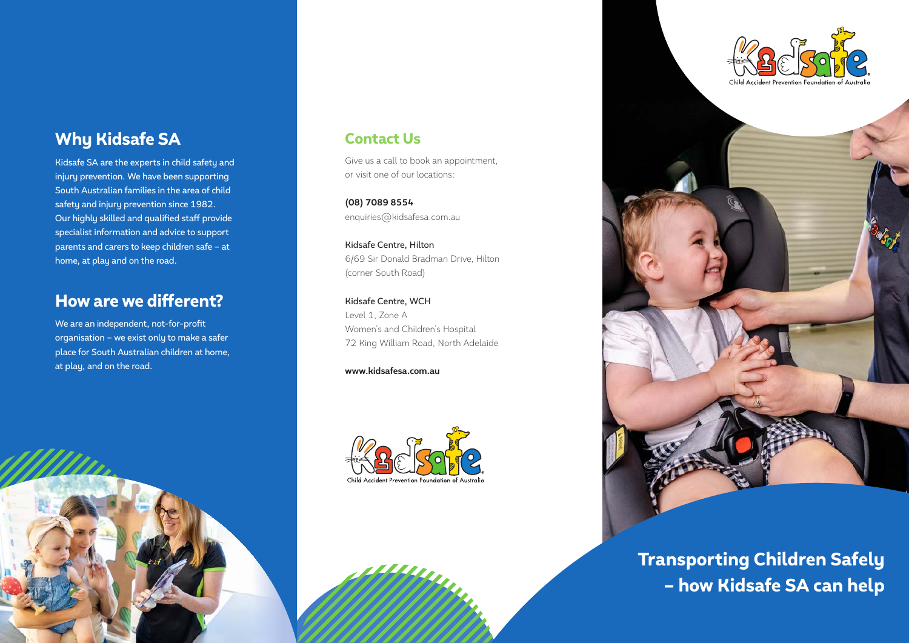# Why Kidsafe SA

Kidsafe SA are the experts in child safety and injury prevention. We have been supporting South Australian families in the area of child safety and injury prevention since 1982. Our highly skilled and qualified staff provide specialist information and advice to support parents and carers to keep children safe – at home, at play and on the road.

## How are we different?

We are an independent, not-for-profit organisation – we exist only to make a safer place for South Australian children at home, at play, and on the road.

## Contact Us

Give us a call to book an appointment, or visit one of our locations:

**(08) 7089 8554** enquiries@kidsafesa.com.au

Kidsafe Centre, Hilton 6/69 Sir Donald Bradman Drive, Hilton (corner South Road)

Kidsafe Centre, WCH Level 1, Zone A Women's and Children's Hospital 72 King William Road, North Adelaide

**www.kidsafesa.com.au**







Transporting Children Safely – how Kidsafe SA can help